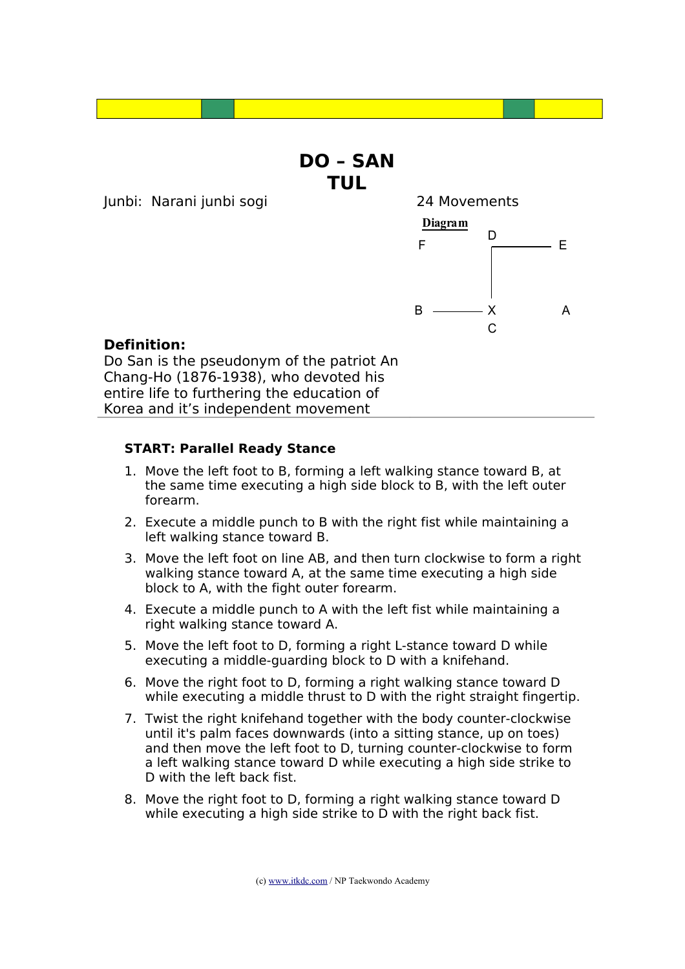## **DO – SAN TUL**

Junbi: Narani junbi sogi 24 Movements



### **Definition:**

Do San is the pseudonym of the patriot An Chang-Ho (1876-1938), who devoted his entire life to furthering the education of Korea and it's independent movement

#### **START: Parallel Ready Stance**

- 1. Move the left foot to B, forming a left walking stance toward B, at the same time executing a high side block to B, with the left outer forearm.
- 2. Execute a middle punch to B with the right fist while maintaining a left walking stance toward B.
- 3. Move the left foot on line AB, and then turn clockwise to form a right walking stance toward A, at the same time executing a high side block to A, with the fight outer forearm.
- 4. Execute a middle punch to A with the left fist while maintaining a right walking stance toward A.
- 5. Move the left foot to D, forming a right L-stance toward D while executing a middle-guarding block to D with a knifehand.
- 6. Move the right foot to D, forming a right walking stance toward D while executing a middle thrust to D with the right straight fingertip.
- 7. Twist the right knifehand together with the body counter-clockwise until it's palm faces downwards (into a sitting stance, up on toes) and then move the left foot to D, turning counter-clockwise to form a left walking stance toward D while executing a high side strike to D with the left back fist.
- 8. Move the right foot to D, forming a right walking stance toward D while executing a high side strike to D with the right back fist.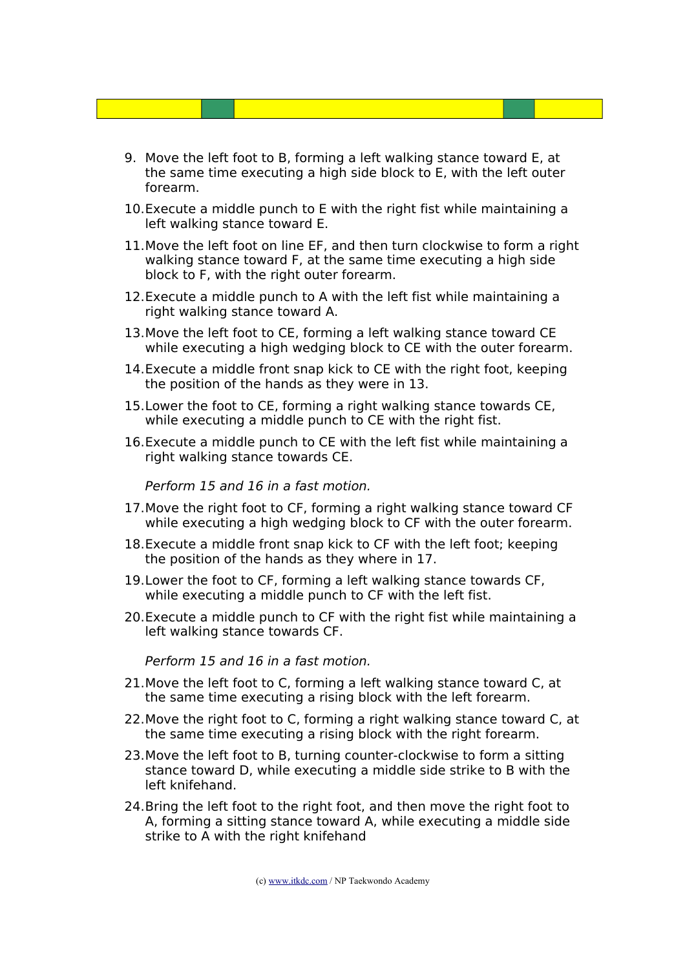- 9. Move the left foot to B, forming a left walking stance toward E, at the same time executing a high side block to E, with the left outer forearm.
- 10.Execute a middle punch to E with the right fist while maintaining a left walking stance toward E.
- 11.Move the left foot on line EF, and then turn clockwise to form a right walking stance toward F, at the same time executing a high side block to F, with the right outer forearm.
- 12.Execute a middle punch to A with the left fist while maintaining a right walking stance toward A.
- 13.Move the left foot to CE, forming a left walking stance toward CE while executing a high wedging block to CE with the outer forearm.
- 14.Execute a middle front snap kick to CE with the right foot, keeping the position of the hands as they were in 13.
- 15.Lower the foot to CE, forming a right walking stance towards CE, while executing a middle punch to CE with the right fist.
- 16.Execute a middle punch to CE with the left fist while maintaining a right walking stance towards CE.

Perform 15 and 16 in a fast motion.

- 17.Move the right foot to CF, forming a right walking stance toward CF while executing a high wedging block to CF with the outer forearm.
- 18.Execute a middle front snap kick to CF with the left foot; keeping the position of the hands as they where in 17.
- 19.Lower the foot to CF, forming a left walking stance towards CF, while executing a middle punch to CF with the left fist.
- 20.Execute a middle punch to CF with the right fist while maintaining a left walking stance towards CF.

Perform 15 and 16 in a fast motion.

- 21.Move the left foot to C, forming a left walking stance toward C, at the same time executing a rising block with the left forearm.
- 22.Move the right foot to C, forming a right walking stance toward C, at the same time executing a rising block with the right forearm.
- 23.Move the left foot to B, turning counter-clockwise to form a sitting stance toward D, while executing a middle side strike to B with the left knifehand.
- 24.Bring the left foot to the right foot, and then move the right foot to A, forming a sitting stance toward A, while executing a middle side strike to A with the right knifehand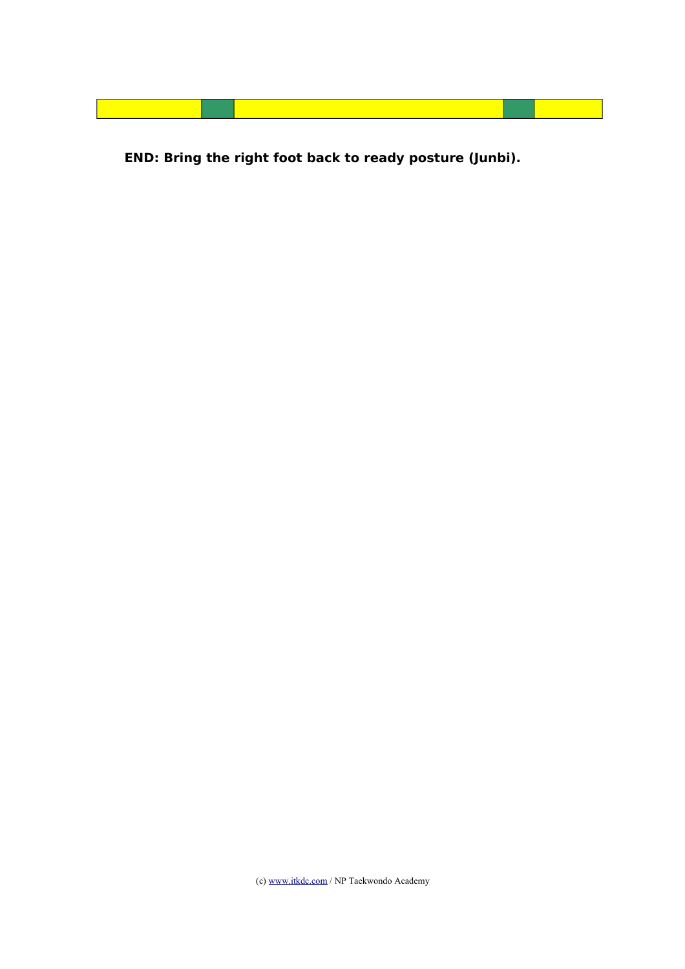**END: Bring the right foot back to ready posture (Junbi).**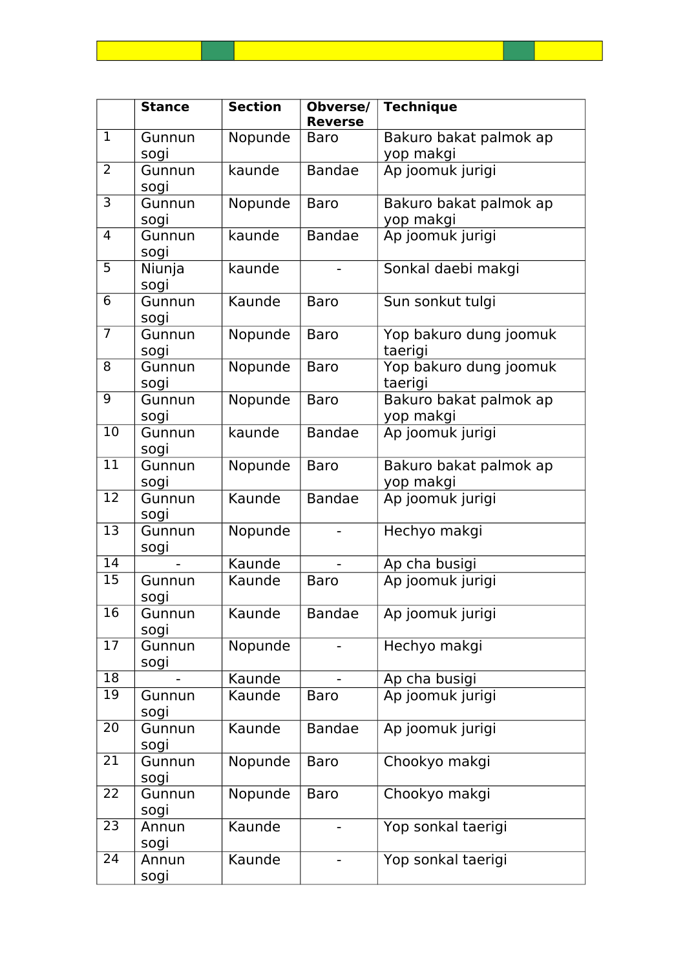|                | <b>Stance</b>  | <b>Section</b> | Obverse/<br><b>Reverse</b> | <b>Technique</b>                    |
|----------------|----------------|----------------|----------------------------|-------------------------------------|
| $\mathbf{1}$   | Gunnun<br>sogi | Nopunde        | Baro                       | Bakuro bakat palmok ap<br>yop makgi |
| 2              | Gunnun<br>sogi | kaunde         | <b>Bandae</b>              | Ap joomuk jurigi                    |
| 3              | Gunnun<br>sogi | Nopunde        | <b>Baro</b>                | Bakuro bakat palmok ap<br>yop makgi |
| $\overline{4}$ | Gunnun<br>sogi | kaunde         | <b>Bandae</b>              | Ap joomuk jurigi                    |
| 5              | Niunja<br>sogi | kaunde         |                            | Sonkal daebi makgi                  |
| 6              | Gunnun<br>sogi | Kaunde         | Baro                       | Sun sonkut tulgi                    |

|                 | uunnun<br>sogi | naunuc  | ט ווט         | Juli Julinut tulyi                  |
|-----------------|----------------|---------|---------------|-------------------------------------|
| $\overline{7}$  | Gunnun<br>sogi | Nopunde | <b>Baro</b>   | Yop bakuro dung joomuk<br>taerigi   |
| $\overline{8}$  | Gunnun<br>sogi | Nopunde | <b>Baro</b>   | Yop bakuro dung joomuk<br>taerigi   |
| 9               | Gunnun<br>sogi | Nopunde | <b>Baro</b>   | Bakuro bakat palmok ap<br>yop makgi |
| 10              | Gunnun<br>sogi | kaunde  | <b>Bandae</b> | Ap joomuk jurigi                    |
| 11              | Gunnun<br>sogi | Nopunde | <b>Baro</b>   | Bakuro bakat palmok ap<br>yop makgi |
| $\overline{12}$ | Gunnun<br>sogi | Kaunde  | <b>Bandae</b> | Ap joomuk jurigi                    |
| 13              | Gunnun<br>sogi | Nopunde |               | Hechyo makgi                        |
| $\overline{14}$ |                | Kaunde  |               | Ap cha busigi                       |
| 15              | Gunnun<br>sogi | Kaunde  | <b>Baro</b>   | Ap joomuk jurigi                    |
| $\overline{16}$ | Gunnun<br>sogi | Kaunde  | <b>Bandae</b> | Ap joomuk jurigi                    |
| 17              | Gunnun<br>sogi | Nopunde |               | Hechyo makgi                        |
| $\overline{18}$ |                | Kaunde  |               | Ap cha busigi                       |
| 19              | Gunnun<br>sogi | Kaunde  | <b>Baro</b>   | Ap joomuk jurigi                    |
| $\overline{20}$ | Gunnun<br>sogi | Kaunde  | <b>Bandae</b> | Ap joomuk jurigi                    |
| $\overline{21}$ | Gunnun<br>sogi | Nopunde | <b>Baro</b>   | Chookyo makgi                       |
| $\overline{22}$ | Gunnun<br>sogi | Nopunde | <b>Baro</b>   | Chookyo makgi                       |
| 23              | Annun<br>sogi  | Kaunde  |               | Yop sonkal taerigi                  |
| $\overline{24}$ | Annun<br>sogi  | Kaunde  |               | Yop sonkal taerigi                  |